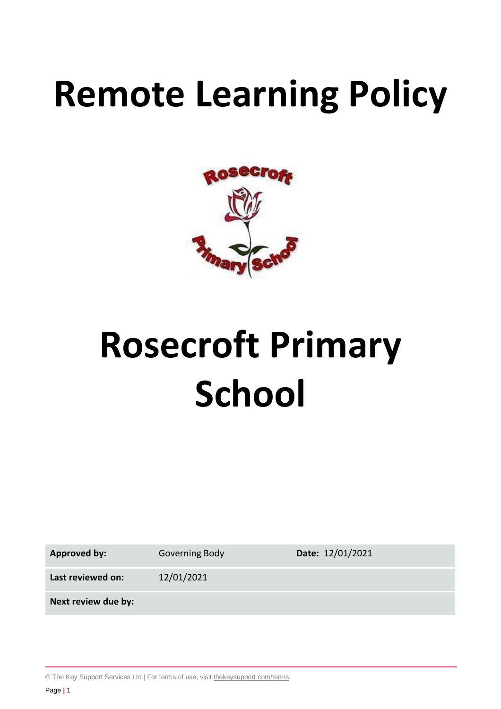# **Remote Learning Policy**



# **Rosecroft Primary School**

**Approved by:** Governing Body **Date:** 12/01/2021

**Last reviewed on:** 12/01/2021

**Next review due by:**

© The Key Support Services Ltd | For terms of use, visit [thekeysupport.com/terms](https://thekeysupport.com/terms-of-use)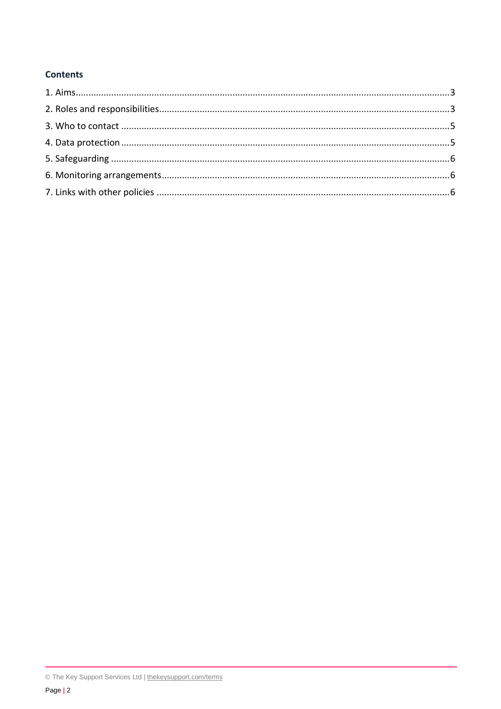# **Contents**

<sup>©</sup> The Key Support Services Ltd | thekeysupport.com/terms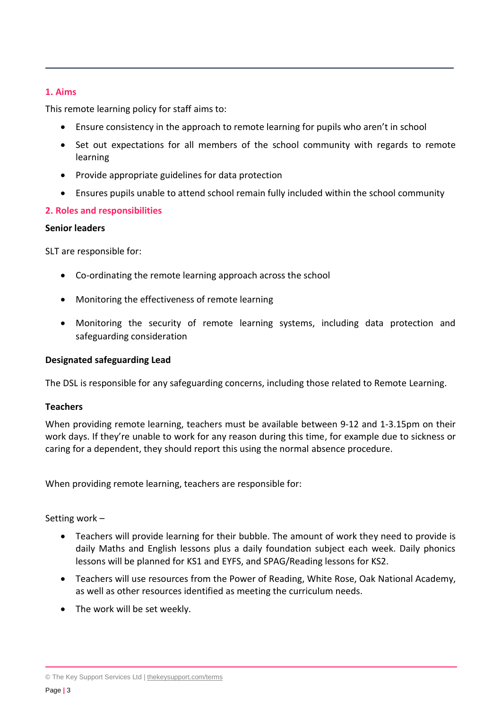# <span id="page-2-0"></span>**1. Aims**

This remote learning policy for staff aims to:

- Ensure consistency in the approach to remote learning for pupils who aren't in school
- Set out expectations for all members of the school community with regards to remote learning
- Provide appropriate guidelines for data protection
- Ensures pupils unable to attend school remain fully included within the school community

# <span id="page-2-1"></span>**2. Roles and responsibilities**

#### **Senior leaders**

SLT are responsible for:

- Co-ordinating the remote learning approach across the school
- Monitoring the effectiveness of remote learning
- Monitoring the security of remote learning systems, including data protection and safeguarding consideration

#### **Designated safeguarding Lead**

The DSL is responsible for any safeguarding concerns, including those related to Remote Learning.

#### **Teachers**

When providing remote learning, teachers must be available between 9-12 and 1-3.15pm on their work days. If they're unable to work for any reason during this time, for example due to sickness or caring for a dependent, they should report this using the normal absence procedure.

When providing remote learning, teachers are responsible for:

# Setting work –

- Teachers will provide learning for their bubble. The amount of work they need to provide is daily Maths and English lessons plus a daily foundation subject each week. Daily phonics lessons will be planned for KS1 and EYFS, and SPAG/Reading lessons for KS2.
- Teachers will use resources from the Power of Reading, White Rose, Oak National Academy, as well as other resources identified as meeting the curriculum needs.
- The work will be set weekly.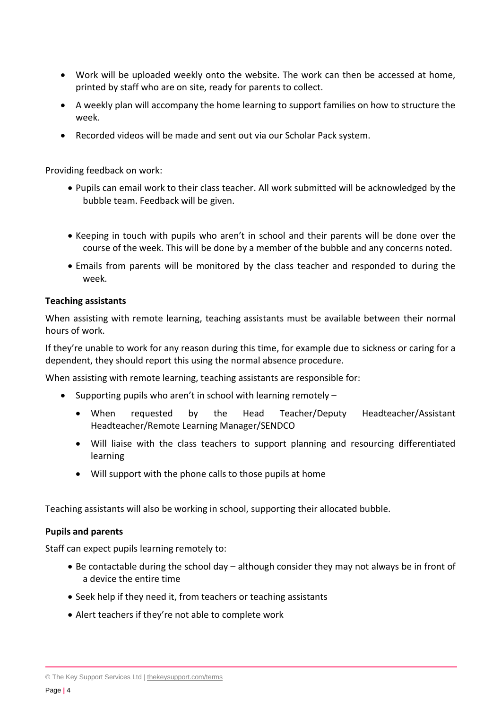- Work will be uploaded weekly onto the website. The work can then be accessed at home, printed by staff who are on site, ready for parents to collect.
- A weekly plan will accompany the home learning to support families on how to structure the week.
- Recorded videos will be made and sent out via our Scholar Pack system.

Providing feedback on work:

- Pupils can email work to their class teacher. All work submitted will be acknowledged by the bubble team. Feedback will be given.
- Keeping in touch with pupils who aren't in school and their parents will be done over the course of the week. This will be done by a member of the bubble and any concerns noted.
- Emails from parents will be monitored by the class teacher and responded to during the week.

#### **Teaching assistants**

When assisting with remote learning, teaching assistants must be available between their normal hours of work.

If they're unable to work for any reason during this time, for example due to sickness or caring for a dependent, they should report this using the normal absence procedure.

When assisting with remote learning, teaching assistants are responsible for:

- Supporting pupils who aren't in school with learning remotely  $-$ 
	- When requested by the Head Teacher/Deputy Headteacher/Assistant Headteacher/Remote Learning Manager/SENDCO
	- Will liaise with the class teachers to support planning and resourcing differentiated learning
	- Will support with the phone calls to those pupils at home

Teaching assistants will also be working in school, supporting their allocated bubble.

#### **Pupils and parents**

Staff can expect pupils learning remotely to:

- Be contactable during the school day although consider they may not always be in front of a device the entire time
- Seek help if they need it, from teachers or teaching assistants
- Alert teachers if they're not able to complete work

© The Key Support Services Ltd | [thekeysupport.com/terms](https://thekeysupport.com/terms-of-use)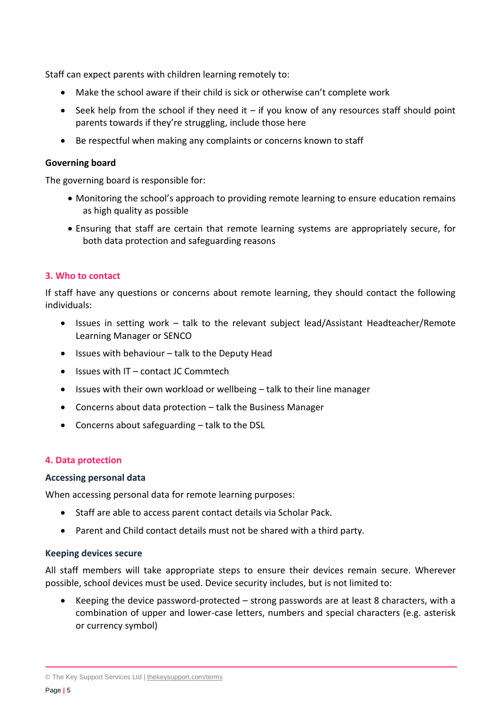Staff can expect parents with children learning remotely to:

- Make the school aware if their child is sick or otherwise can't complete work
- $\bullet$  Seek help from the school if they need it if you know of any resources staff should point parents towards if they're struggling, include those here
- Be respectful when making any complaints or concerns known to staff

#### **Governing board**

The governing board is responsible for:

- Monitoring the school's approach to providing remote learning to ensure education remains as high quality as possible
- Ensuring that staff are certain that remote learning systems are appropriately secure, for both data protection and safeguarding reasons

#### <span id="page-4-0"></span>**3. Who to contact**

If staff have any questions or concerns about remote learning, they should contact the following individuals:

- Issues in setting work talk to the relevant subject lead/Assistant Headteacher/Remote Learning Manager or SENCO
- $\bullet$  Issues with behaviour talk to the Deputy Head
- $\bullet$  Issues with IT contact JC Commtech
- Issues with their own workload or wellbeing talk to their line manager
- Concerns about data protection talk the Business Manager
- Concerns about safeguarding talk to the DSL

#### <span id="page-4-1"></span>**4. Data protection**

#### **Accessing personal data**

When accessing personal data for remote learning purposes:

- Staff are able to access parent contact details via Scholar Pack.
- Parent and Child contact details must not be shared with a third party.

#### **Keeping devices secure**

All staff members will take appropriate steps to ensure their devices remain secure. Wherever possible, school devices must be used. Device security includes, but is not limited to:

 Keeping the device password-protected – strong passwords are at least 8 characters, with a combination of upper and lower-case letters, numbers and special characters (e.g. asterisk or currency symbol)

© The Key Support Services Ltd | [thekeysupport.com/terms](https://thekeysupport.com/terms-of-use)